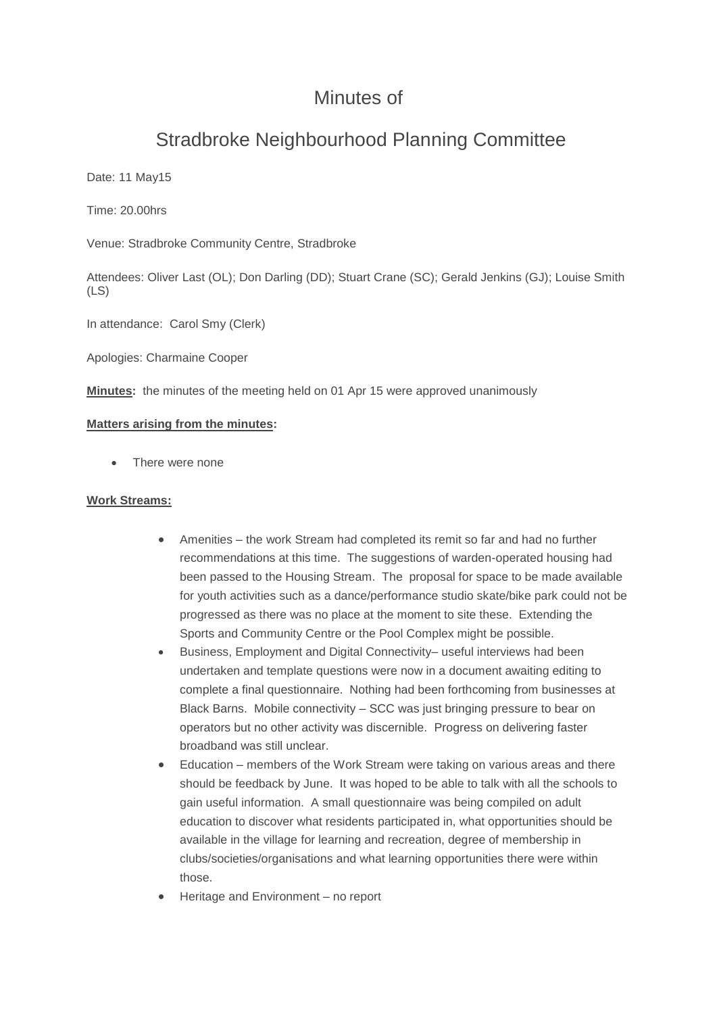## Minutes of

# Stradbroke Neighbourhood Planning Committee

Date: 11 May15

Time: 20.00hrs

Venue: Stradbroke Community Centre, Stradbroke

Attendees: Oliver Last (OL); Don Darling (DD); Stuart Crane (SC); Gerald Jenkins (GJ); Louise Smith (LS)

In attendance: Carol Smy (Clerk)

Apologies: Charmaine Cooper

**Minutes:** the minutes of the meeting held on 01 Apr 15 were approved unanimously

#### **Matters arising from the minutes:**

There were none

#### **Work Streams:**

- Amenities the work Stream had completed its remit so far and had no further recommendations at this time. The suggestions of warden-operated housing had been passed to the Housing Stream. The proposal for space to be made available for youth activities such as a dance/performance studio skate/bike park could not be progressed as there was no place at the moment to site these. Extending the Sports and Community Centre or the Pool Complex might be possible.
- Business, Employment and Digital Connectivity– useful interviews had been undertaken and template questions were now in a document awaiting editing to complete a final questionnaire. Nothing had been forthcoming from businesses at Black Barns. Mobile connectivity – SCC was just bringing pressure to bear on operators but no other activity was discernible. Progress on delivering faster broadband was still unclear.
- Education members of the Work Stream were taking on various areas and there should be feedback by June. It was hoped to be able to talk with all the schools to gain useful information. A small questionnaire was being compiled on adult education to discover what residents participated in, what opportunities should be available in the village for learning and recreation, degree of membership in clubs/societies/organisations and what learning opportunities there were within those.
- Heritage and Environment no report